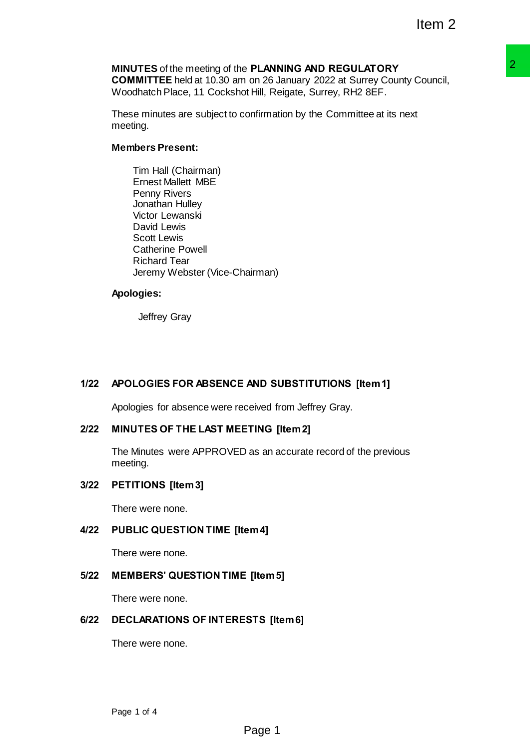# **MINUTES** of the meeting of the **PLANNING AND REGULATORY COMMITTEE** held at 10.30 am on 26 January 2022 at Surrey County Council, Woodhatch Place, 11 Cockshot Hill, Reigate, Surrey, RH2 8EF. **P PLANING AND REGULATORY**<br> **PLANING AND REGULATORY**<br>
On Of 26 January 2022 at Surrey County Council,<br>
1 Hill, Relgate, Surrey, RH2 8EF.<br>
Confirmation by the Committee at its next<br>
nonfirmation by the Committee at its next

These minutes are subject to confirmation by the Committee at its next meeting.

# **Members Present:**

Tim Hall (Chairman) Ernest Mallett MBE Penny Rivers Jonathan Hulley Victor Lewanski David Lewis Scott Lewis Catherine Powell Richard Tear Jeremy Webster (Vice-Chairman)

### **Apologies:**

Jeffrey Gray

# **1/22 APOLOGIES FOR ABSENCE AND SUBSTITUTIONS [Item 1]**

Apologies for absence were received from Jeffrey Gray.

# **2/22 MINUTES OF THE LAST MEETING [Item 2]**

The Minutes were APPROVED as an accurate record of the previous meeting.

# **3/22 PETITIONS [Item 3]**

There were none.

# **4/22 PUBLIC QUESTION TIME [Item 4]**

There were none.

# **5/22 MEMBERS' QUESTION TIME [Item 5]**

There were none.

# **6/22 DECLARATIONS OF INTERESTS [Item 6]**

There were none.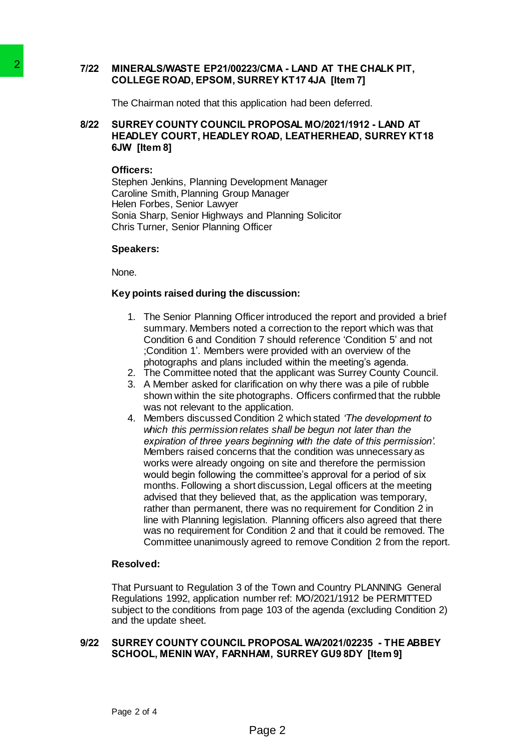# **7/22 MINERALS/WASTE EP21/00223/CMA - LAND AT THE CHALK PIT, COLLEGE ROAD, EPSOM, SURREY KT17 4JA [Item 7]**

The Chairman noted that this application had been deferred.

# **8/22 SURREY COUNTY COUNCIL PROPOSAL MO/2021/1912 - LAND AT HEADLEY COURT, HEADLEY ROAD, LEATHERHEAD, SURREY KT18 6JW [Item 8]**

### **Officers:**

Stephen Jenkins, Planning Development Manager Caroline Smith, Planning Group Manager Helen Forbes, Senior Lawyer Sonia Sharp, Senior Highways and Planning Solicitor Chris Turner, Senior Planning Officer

### **Speakers:**

None.

### **Key points raised during the discussion:**

- 1. The Senior Planning Officer introduced the report and provided a brief summary. Members noted a correction to the report which was that Condition 6 and Condition 7 should reference 'Condition 5' and not ;Condition 1'. Members were provided with an overview of the photographs and plans included within the meeting's agenda.
- 2. The Committee noted that the applicant was Surrey County Council.
- 3. A Member asked for clarification on why there was a pile of rubble shown within the site photographs. Officers confirmed that the rubble was not relevant to the application.
- 4. Members discussed Condition 2 which stated *'The development to which this permission relates shall be begun not later than the expiration of three years beginning with the date of this permission'.*  Members raised concerns that the condition was unnecessary as works were already ongoing on site and therefore the permission would begin following the committee's approval for a period of six months. Following a short discussion, Legal officers at the meeting advised that they believed that, as the application was temporary, rather than permanent, there was no requirement for Condition 2 in line with Planning legislation. Planning officers also agreed that there was no requirement for Condition 2 and that it could be removed. The Committee unanimously agreed to remove Condition 2 from the report. 2<br>
MINERAL SWAPSTE EP21000223/CMA<br>
COLLEGE ROAD, EPSOMI, SURREY<br>
The Chairman noted that this application<br>
8/22 SURREY COUNTY COUNCIL PROPO:<br>
HEADLEY ROAD,<br>
SWIP TOURT, HEADLEY ROAD,<br>
SWIP (THEAD COURT, HEADLEY ROAD,<br>
SWIP

### **Resolved:**

That Pursuant to Regulation 3 of the Town and Country PLANNING General Regulations 1992, application number ref: MO/2021/1912 be PERMITTED subject to the conditions from page 103 of the agenda (excluding Condition 2) and the update sheet.

### **9/22 SURREY COUNTY COUNCIL PROPOSAL WA/2021/02235 - THE ABBEY SCHOOL, MENIN WAY, FARNHAM, SURREY GU9 8DY [Item 9]**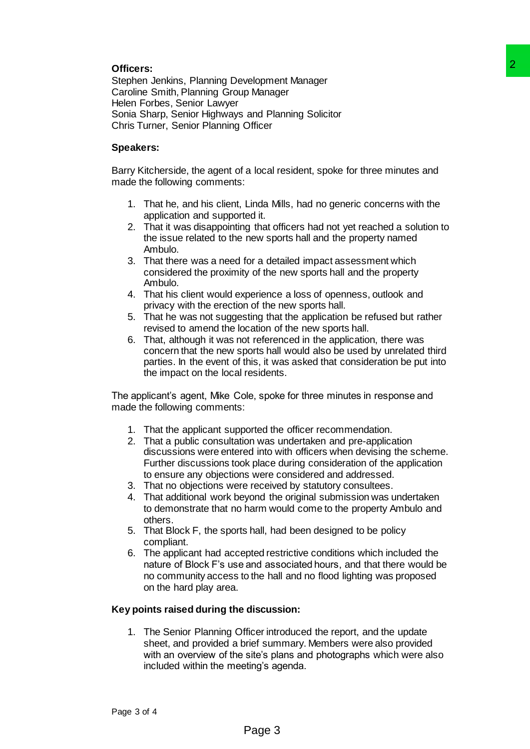# **Officers:**

Stephen Jenkins, Planning Development Manager Caroline Smith, Planning Group Manager Helen Forbes, Senior Lawyer Sonia Sharp, Senior Highways and Planning Solicitor Chris Turner, Senior Planning Officer

# **Speakers:**

Barry Kitcherside, the agent of a local resident, spoke for three minutes and made the following comments:

- 1. That he, and his client, Linda Mills, had no generic concerns with the application and supported it.
- 2. That it was disappointing that officers had not yet reached a solution to the issue related to the new sports hall and the property named Ambulo.
- 3. That there was a need for a detailed impact assessment which considered the proximity of the new sports hall and the property Ambulo.
- 4. That his client would experience a loss of openness, outlook and privacy with the erection of the new sports hall.
- 5. That he was not suggesting that the application be refused but rather revised to amend the location of the new sports hall.
- 6. That, although it was not referenced in the application, there was concern that the new sports hall would also be used by unrelated third parties. In the event of this, it was asked that consideration be put into the impact on the local residents.

The applicant's agent, Mike Cole, spoke for three minutes in response and made the following comments:

- 1. That the applicant supported the officer recommendation.
- 2. That a public consultation was undertaken and pre-application discussions were entered into with officers when devising the scheme. Further discussions took place during consideration of the application to ensure any objections were considered and addressed.
- 3. That no objections were received by statutory consultees.
- 4. That additional work beyond the original submission was undertaken to demonstrate that no harm would come to the property Ambulo and others.
- 5. That Block F, the sports hall, had been designed to be policy compliant.
- 6. The applicant had accepted restrictive conditions which included the nature of Block F's use and associated hours, and that there would be no community access to the hall and no flood lighting was proposed on the hard play area.

# **Key points raised during the discussion:**

1. The Senior Planning Officer introduced the report, and the update sheet, and provided a brief summary. Members were also provided with an overview of the site's plans and photographs which were also included within the meeting's agenda. elopment Manager<br>
2<br>
welopment Manager<br>
p Manager<br>
and Planning Solicitor<br>
conflicer<br>
and a dial, s, had no generic concerns with the<br>
Linda Mils, had no generic concerns with the<br>
light and the state and out yet reached a